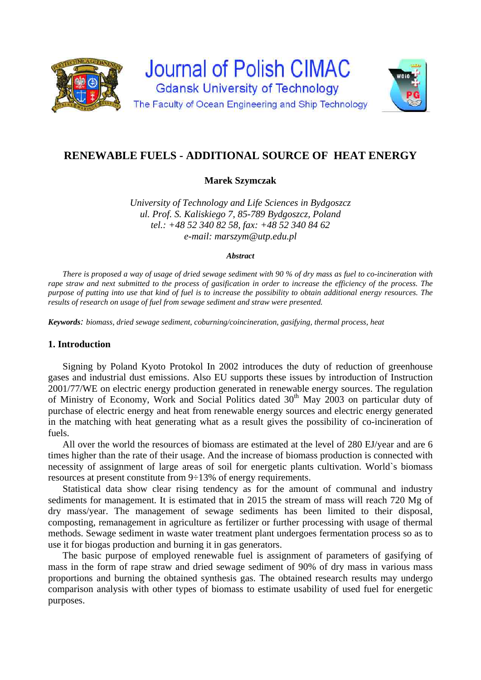

# **RENEWABLE FUELS - ADDITIONAL SOURCE OF HEAT ENERGY**

**Marek Szymczak** 

*University of Technology and Life Sciences in Bydgoszcz ul. Prof. S. Kaliskiego 7, 85-789 Bydgoszcz, Poland tel.: +48 52 340 82 58, fax: +48 52 340 84 62 e-mail: marszym@utp.edu.pl* 

#### *Abstract*

*There is proposed a way of usage of dried sewage sediment with 90 % of dry mass as fuel to co-incineration with rape straw and next submitted to the process of gasification in order to increase the efficiency of the process. The purpose of putting into use that kind of fuel is to increase the possibility to obtain additional energy resources. The results of research on usage of fuel from sewage sediment and straw were presented.* 

*Keywords: biomass, dried sewage sediment, coburning/coincineration, gasifying, thermal process, heat*

### **1. Introduction**

Signing by Poland Kyoto Protokol In 2002 introduces the duty of reduction of greenhouse gases and industrial dust emissions. Also EU supports these issues by introduction of Instruction 2001/77/WE on electric energy production generated in renewable energy sources. The regulation of Ministry of Economy, Work and Social Politics dated  $30<sup>th</sup>$  May 2003 on particular duty of purchase of electric energy and heat from renewable energy sources and electric energy generated in the matching with heat generating what as a result gives the possibility of co-incineration of fuels.

All over the world the resources of biomass are estimated at the level of 280 EJ/year and are 6 times higher than the rate of their usage. And the increase of biomass production is connected with necessity of assignment of large areas of soil for energetic plants cultivation. World`s biomass resources at present constitute from 9÷13% of energy requirements.

Statistical data show clear rising tendency as for the amount of communal and industry sediments for management. It is estimated that in 2015 the stream of mass will reach 720 Mg of dry mass/year. The management of sewage sediments has been limited to their disposal, composting, remanagement in agriculture as fertilizer or further processing with usage of thermal methods. Sewage sediment in waste water treatment plant undergoes fermentation process so as to use it for biogas production and burning it in gas generators.

The basic purpose of employed renewable fuel is assignment of parameters of gasifying of mass in the form of rape straw and dried sewage sediment of 90% of dry mass in various mass proportions and burning the obtained synthesis gas. The obtained research results may undergo comparison analysis with other types of biomass to estimate usability of used fuel for energetic purposes.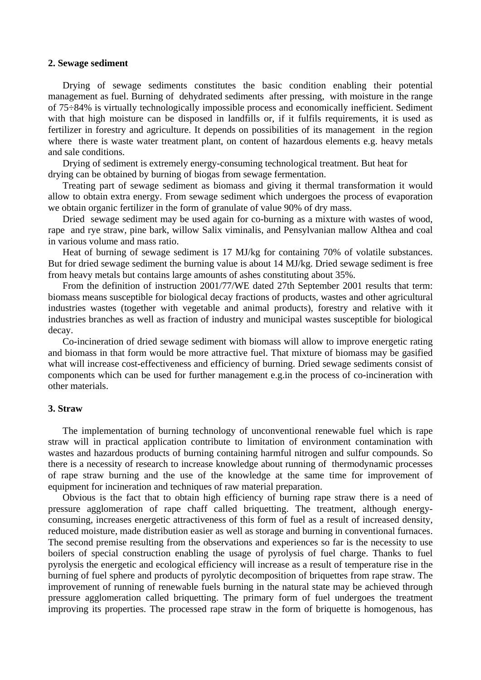### **2. Sewage sediment**

Drying of sewage sediments constitutes the basic condition enabling their potential management as fuel. Burning of dehydrated sediments after pressing, with moisture in the range of 75÷84% is virtually technologically impossible process and economically inefficient. Sediment with that high moisture can be disposed in landfills or, if it fulfils requirements, it is used as fertilizer in forestry and agriculture. It depends on possibilities of its management in the region where there is waste water treatment plant, on content of hazardous elements e.g. heavy metals and sale conditions.

Drying of sediment is extremely energy-consuming technological treatment. But heat for drying can be obtained by burning of biogas from sewage fermentation.

Treating part of sewage sediment as biomass and giving it thermal transformation it would allow to obtain extra energy. From sewage sediment which undergoes the process of evaporation we obtain organic fertilizer in the form of granulate of value 90% of dry mass.

Dried sewage sediment may be used again for co-burning as a mixture with wastes of wood, rape and rye straw, pine bark, willow Salix viminalis, and Pensylvanian mallow Althea and coal in various volume and mass ratio.

Heat of burning of sewage sediment is 17 MJ/kg for containing 70% of volatile substances. But for dried sewage sediment the burning value is about 14 MJ/kg. Dried sewage sediment is free from heavy metals but contains large amounts of ashes constituting about 35%.

From the definition of instruction 2001/77/WE dated 27th September 2001 results that term: biomass means susceptible for biological decay fractions of products, wastes and other agricultural industries wastes (together with vegetable and animal products), forestry and relative with it industries branches as well as fraction of industry and municipal wastes susceptible for biological decay.

Co-incineration of dried sewage sediment with biomass will allow to improve energetic rating and biomass in that form would be more attractive fuel. That mixture of biomass may be gasified what will increase cost-effectiveness and efficiency of burning. Dried sewage sediments consist of components which can be used for further management e.g.in the process of co-incineration with other materials.

#### **3. Straw**

The implementation of burning technology of unconventional renewable fuel which is rape straw will in practical application contribute to limitation of environment contamination with wastes and hazardous products of burning containing harmful nitrogen and sulfur compounds. So there is a necessity of research to increase knowledge about running of thermodynamic processes of rape straw burning and the use of the knowledge at the same time for improvement of equipment for incineration and techniques of raw material preparation.

Obvious is the fact that to obtain high efficiency of burning rape straw there is a need of pressure agglomeration of rape chaff called briquetting. The treatment, although energyconsuming, increases energetic attractiveness of this form of fuel as a result of increased density, reduced moisture, made distribution easier as well as storage and burning in conventional furnaces. The second premise resulting from the observations and experiences so far is the necessity to use boilers of special construction enabling the usage of pyrolysis of fuel charge. Thanks to fuel pyrolysis the energetic and ecological efficiency will increase as a result of temperature rise in the burning of fuel sphere and products of pyrolytic decomposition of briquettes from rape straw. The improvement of running of renewable fuels burning in the natural state may be achieved through pressure agglomeration called briquetting. The primary form of fuel undergoes the treatment improving its properties. The processed rape straw in the form of briquette is homogenous, has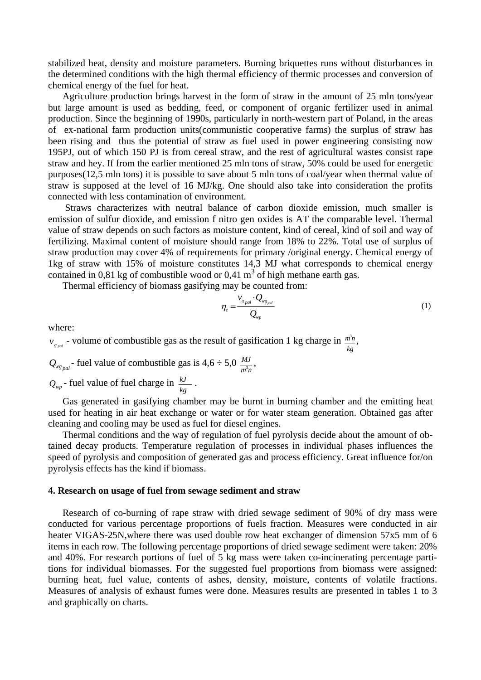stabilized heat, density and moisture parameters. Burning briquettes runs without disturbances in the determined conditions with the high thermal efficiency of thermic processes and conversion of chemical energy of the fuel for heat.

Agriculture production brings harvest in the form of straw in the amount of 25 mln tons/year but large amount is used as bedding, feed, or component of organic fertilizer used in animal production. Since the beginning of 1990s, particularly in north-western part of Poland, in the areas of ex-national farm production units(communistic cooperative farms) the surplus of straw has been rising and thus the potential of straw as fuel used in power engineering consisting now 195PJ, out of which 150 PJ is from cereal straw, and the rest of agricultural wastes consist rape straw and hey. If from the earlier mentioned 25 mln tons of straw, 50% could be used for energetic purposes(12,5 mln tons) it is possible to save about 5 mln tons of coal/year when thermal value of straw is supposed at the level of 16 MJ/kg. One should also take into consideration the profits connected with less contamination of environment.

 Straws characterizes with neutral balance of carbon dioxide emission, much smaller is emission of sulfur dioxide, and emission f nitro gen oxides is AT the comparable level. Thermal value of straw depends on such factors as moisture content, kind of cereal, kind of soil and way of fertilizing. Maximal content of moisture should range from 18% to 22%. Total use of surplus of straw production may cover 4% of requirements for primary /original energy. Chemical energy of 1kg of straw with 15% of moisture constitutes 14,3 MJ what corresponds to chemical energy contained in 0,81 kg of combustible wood or 0,41  $m<sup>3</sup>$  of high methane earth gas.

Thermal efficiency of biomass gasifying may be counted from:

$$
\eta_z = \frac{v_{g_{pal}} \cdot Q_{w_{g_{pal}}}}{Q_{w_{p}}}
$$
\n(1)

where:

 $v_{g_{pol}}$  - volume of combustible gas as the result of gasification 1 kg charge in  $\frac{m_i^2}{k_g}$ m<sup>3</sup>n,

 $Q_{wg_{pal}}$  - fuel value of combustible gas is  $4.6 \div 5.0 \frac{MJ}{m^3n}$ ,

 $Q_{wp}$  - fuel value of fuel charge in  $\frac{kJ}{kg}$ .

Gas generated in gasifying chamber may be burnt in burning chamber and the emitting heat used for heating in air heat exchange or water or for water steam generation. Obtained gas after cleaning and cooling may be used as fuel for diesel engines.

Thermal conditions and the way of regulation of fuel pyrolysis decide about the amount of obtained decay products. Temperature regulation of processes in individual phases influences the speed of pyrolysis and composition of generated gas and process efficiency. Great influence for/on pyrolysis effects has the kind if biomass.

#### **4. Research on usage of fuel from sewage sediment and straw**

Research of co-burning of rape straw with dried sewage sediment of 90% of dry mass were conducted for various percentage proportions of fuels fraction. Measures were conducted in air heater VIGAS-25N,where there was used double row heat exchanger of dimension 57x5 mm of 6 items in each row. The following percentage proportions of dried sewage sediment were taken: 20% and 40%. For research portions of fuel of 5 kg mass were taken co-incinerating percentage partitions for individual biomasses. For the suggested fuel proportions from biomass were assigned: burning heat, fuel value, contents of ashes, density, moisture, contents of volatile fractions. Measures of analysis of exhaust fumes were done. Measures results are presented in tables 1 to 3 and graphically on charts.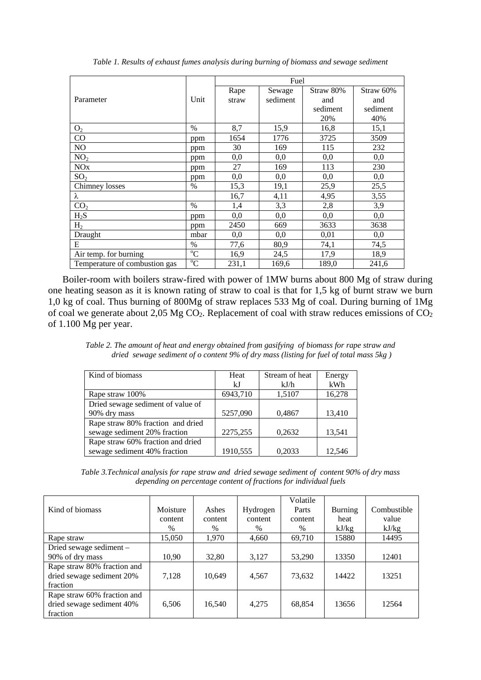|                               |               | Fuel  |          |           |           |  |  |
|-------------------------------|---------------|-------|----------|-----------|-----------|--|--|
|                               |               | Rape  | Sewage   | Straw 80% | Straw 60% |  |  |
| Parameter                     | Unit          | straw | sediment | and       | and       |  |  |
|                               |               |       |          | sediment  | sediment  |  |  |
|                               |               |       |          | 20%       | 40%       |  |  |
| O <sub>2</sub>                | $\frac{0}{0}$ | 8,7   | 15,9     | 16,8      | 15,1      |  |  |
| CO                            | ppm           | 1654  | 1776     | 3725      | 3509      |  |  |
| NO                            | ppm           | 30    | 169      | 115       | 232       |  |  |
| NO <sub>2</sub>               | ppm           | 0,0   | 0,0      | 0,0       | 0,0       |  |  |
| <b>NO<sub>x</sub></b>         | ppm           | 27    | 169      | 113       | 230       |  |  |
| SO <sub>2</sub>               | ppm           | 0,0   | 0,0      | 0,0       | 0,0       |  |  |
| Chimney losses                | $\%$          | 15,3  | 19,1     | 25,9      | 25,5      |  |  |
| λ                             |               | 16,7  | 4,11     | 4,95      | 3,55      |  |  |
| CO <sub>2</sub>               | $\frac{0}{0}$ | 1,4   | 3,3      | 2,8       | 3,9       |  |  |
| $H_2S$                        | ppm           | 0,0   | 0,0      | 0,0       | 0,0       |  |  |
| H <sub>2</sub>                | ppm           | 2450  | 669      | 3633      | 3638      |  |  |
| Draught                       | mbar          | 0,0   | 0,0      | 0,01      | 0,0       |  |  |
| E                             | $\%$          | 77,6  | 80,9     | 74,1      | 74,5      |  |  |
| Air temp. for burning         | $\rm ^{o}C$   | 16,9  | 24,5     | 17,9      | 18,9      |  |  |
| Temperature of combustion gas | $^{\circ}C$   | 231,1 | 169,6    | 189,0     | 241,6     |  |  |

*Table 1. Results of exhaust fumes analysis during burning of biomass and sewage sediment* 

Boiler-room with boilers straw-fired with power of 1MW burns about 800 Mg of straw during one heating season as it is known rating of straw to coal is that for 1,5 kg of burnt straw we burn 1,0 kg of coal. Thus burning of 800Mg of straw replaces 533 Mg of coal. During burning of 1Mg of coal we generate about 2,05 Mg  $CO<sub>2</sub>$ . Replacement of coal with straw reduces emissions of  $CO<sub>2</sub>$ of 1.100 Mg per year.

*Table 2. The amount of heat and energy obtained from gasifying of biomass for rape straw and dried sewage sediment of o content 9% of dry mass (listing for fuel of total mass 5kg )* 

| Kind of biomass                   | Heat<br>kJ | Stream of heat<br>kJ/h | Energy<br>kWh |
|-----------------------------------|------------|------------------------|---------------|
| Rape straw 100%                   | 6943,710   | 1,5107                 | 16,278        |
| Dried sewage sediment of value of |            |                        |               |
| 90% dry mass                      | 5257,090   | 0,4867                 | 13,410        |
| Rape straw 80% fraction and dried |            |                        |               |
| sewage sediment 20% fraction      | 2275,255   | 0,2632                 | 13,541        |
| Rape straw 60% fraction and dried |            |                        |               |
| sewage sediment 40% fraction      | 1910,555   | 0,2033                 | 12.546        |

*Table 3.Technical analysis for rape straw and dried sewage sediment of content 90% of dry mass depending on percentage content of fractions for individual fuels* 

|                             |          |         |          | Volatile |                |             |
|-----------------------------|----------|---------|----------|----------|----------------|-------------|
| Kind of biomass             | Moisture | Ashes   | Hydrogen | Parts    | <b>Burning</b> | Combustible |
|                             | content  | content | content  | content  | heat           | value       |
|                             | $\%$     | $\%$    | $\%$     | $\%$     | kJ/kg          | kJ/kg       |
| Rape straw                  | 15,050   | 1,970   | 4,660    | 69,710   | 15880          | 14495       |
| Dried sewage sediment -     |          |         |          |          |                |             |
| 90% of dry mass             | 10,90    | 32,80   | 3,127    | 53,290   | 13350          | 12401       |
| Rape straw 80% fraction and |          |         |          |          |                |             |
| dried sewage sediment 20%   | 7,128    | 10,649  | 4,567    | 73,632   | 14422          | 13251       |
| fraction                    |          |         |          |          |                |             |
| Rape straw 60% fraction and |          |         |          |          |                |             |
| dried sewage sediment 40%   | 6.506    | 16,540  | 4,275    | 68,854   | 13656          | 12564       |
| fraction                    |          |         |          |          |                |             |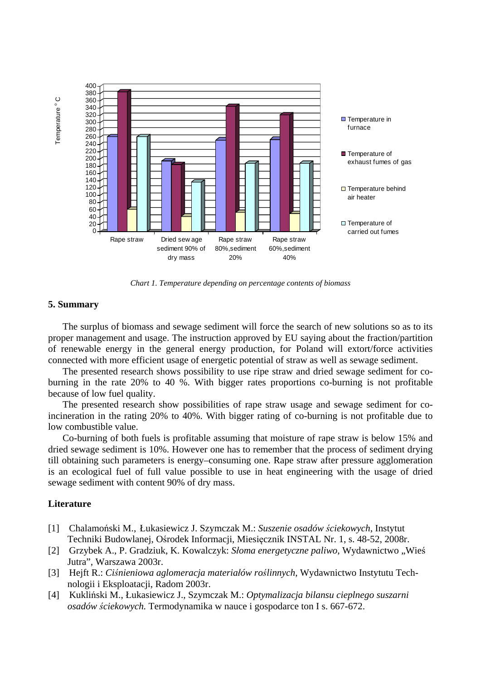

*Chart 1. Temperature depending on percentage contents of biomass* 

### **5. Summary**

The surplus of biomass and sewage sediment will force the search of new solutions so as to its proper management and usage. The instruction approved by EU saying about the fraction/partition of renewable energy in the general energy production, for Poland will extort/force activities connected with more efficient usage of energetic potential of straw as well as sewage sediment.

The presented research shows possibility to use ripe straw and dried sewage sediment for coburning in the rate 20% to 40 %. With bigger rates proportions co-burning is not profitable because of low fuel quality.

The presented research show possibilities of rape straw usage and sewage sediment for coincineration in the rating 20% to 40%. With bigger rating of co-burning is not profitable due to low combustible value.

Co-burning of both fuels is profitable assuming that moisture of rape straw is below 15% and dried sewage sediment is 10%. However one has to remember that the process of sediment drying till obtaining such parameters is energy–consuming one. Rape straw after pressure agglomeration is an ecological fuel of full value possible to use in heat engineering with the usage of dried sewage sediment with content 90% of dry mass.

## **Literature**

- [1] Chalamoński M., Łukasiewicz J. Szymczak M.: *Suszenie osadów ściekowych*, Instytut Techniki Budowlanej, Ośrodek Informacji, Miesięcznik INSTAL Nr. 1, s. 48-52, 2008r.
- [2] Grzybek A., P. Gradziuk, K. Kowalczyk: *Słoma energetyczne paliwo*, Wydawnictwo "Wieś Jutra", Warszawa 2003r.
- [3] Hejft R.: *Ciśnieniowa aglomeracja materiałów roślinnych*, Wydawnictwo Instytutu Tech nologii i Eksploatacji, Radom 2003r.
- [4] Kukliński M., Łukasiewicz J., Szymczak M.: *Optymalizacja bilansu cieplnego suszarni osadów ściekowych.* Termodynamika w nauce i gospodarce ton I s. 667-672.